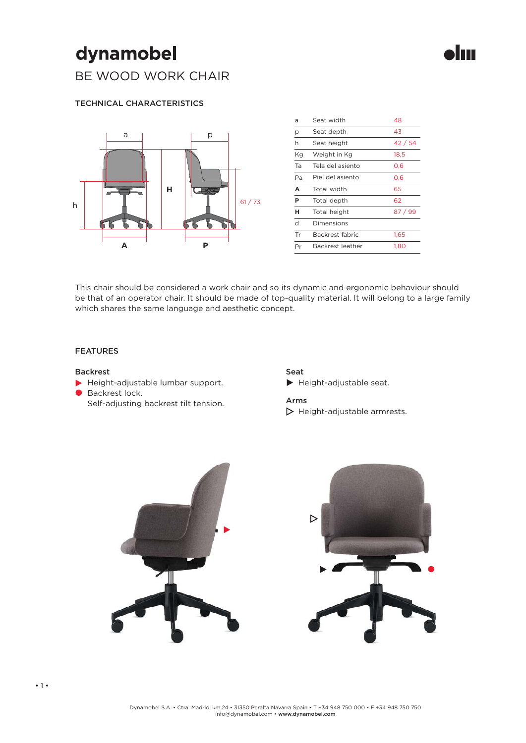## dynamobel

BE WOOD WORK CHAIR

#### TECHNICAL CHARACTERISTICS



| a  | Seat width       | 48      |
|----|------------------|---------|
| p  | Seat depth       | 43      |
| h  | Seat height      | 42/54   |
| Kg | Weight in Kg     | 18,5    |
| Ta | Tela del asiento | 0,6     |
| Pa | Piel del asiento | 0.6     |
| A  | Total width      | 65      |
| Р  | Total depth      | 62      |
| н  |                  |         |
|    | Total height     | 87 / 99 |
| d  | Dimensions       |         |
| Tr | Backrest fabric  | 1,65    |

llann

This chair should be considered a work chair and so its dynamic and ergonomic behaviour should be that of an operator chair. It should be made of top-quality material. It will belong to a large family which shares the same language and aesthetic concept.

#### FEATURES

#### Backrest

- Height-adjustable lumbar support.
- Backrest lock. Self-adjusting backrest tilt tension.

#### Seat Height-adjustable seat.

#### Arms

 $\triangleright$  Height-adjustable armrests.

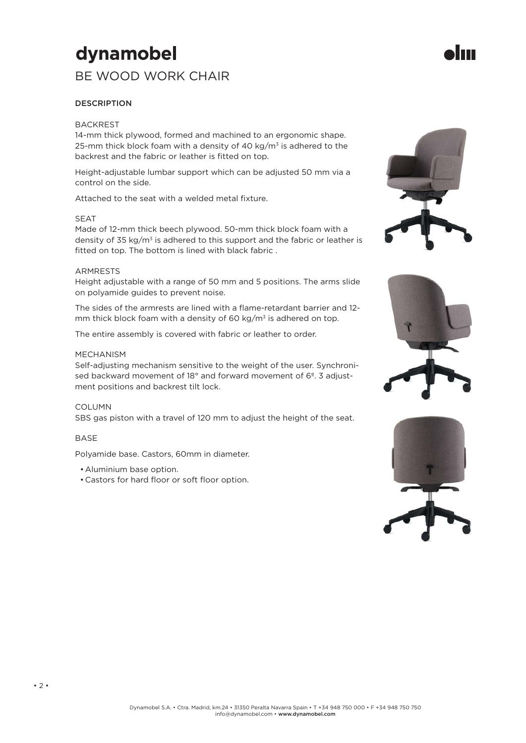# dynamobel

### BE WOOD WORK CHAIR

#### **DESCRIPTION**

#### **BACKREST**

14-mm thick plywood, formed and machined to an ergonomic shape. 25-mm thick block foam with a density of 40 kg/ $m<sup>3</sup>$  is adhered to the backrest and the fabric or leather is fitted on top.

Height-adjustable lumbar support which can be adjusted 50 mm via a control on the side.

Attached to the seat with a welded metal fixture.

#### SEAT

Made of 12-mm thick beech plywood. 50-mm thick block foam with a density of 35 kg/ $m<sup>3</sup>$  is adhered to this support and the fabric or leather is fitted on top. The bottom is lined with black fabric.

#### ARMRESTS

Height adjustable with a range of 50 mm and 5 positions. The arms slide on polyamide guides to prevent noise.

The sides of the armrests are lined with a flame-retardant barrier and 12mm thick block foam with a density of 60 kg/ $m<sup>3</sup>$  is adhered on top.

The entire assembly is covered with fabric or leather to order.

#### MECHANISM

Self-adjusting mechanism sensitive to the weight of the user. Synchronised backward movement of 18° and forward movement of 6°. 3 adjustment positions and backrest tilt lock.

#### COLUMN

SBS gas piston with a travel of 120 mm to adjust the height of the seat.

#### BASE

Polyamide base. Castors, 60mm in diameter.

- Aluminium base option.
- Castors for hard floor or soft floor option.